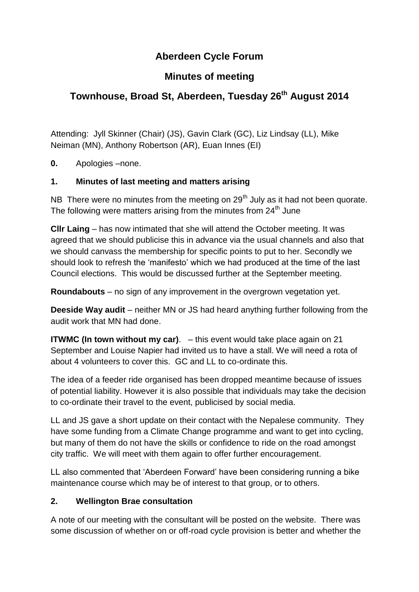# **Aberdeen Cycle Forum**

## **Minutes of meeting**

# **Townhouse, Broad St, Aberdeen, Tuesday 26 th August 2014**

Attending: Jyll Skinner (Chair) (JS), Gavin Clark (GC), Liz Lindsay (LL), Mike Neiman (MN), Anthony Robertson (AR), Euan Innes (EI)

**0.** Apologies –none.

## **1. Minutes of last meeting and matters arising**

NB There were no minutes from the meeting on  $29<sup>th</sup>$  July as it had not been quorate. The following were matters arising from the minutes from  $24<sup>th</sup>$  June

**Cllr Laing** – has now intimated that she will attend the October meeting. It was agreed that we should publicise this in advance via the usual channels and also that we should canvass the membership for specific points to put to her. Secondly we should look to refresh the 'manifesto' which we had produced at the time of the last Council elections. This would be discussed further at the September meeting.

**Roundabouts** – no sign of any improvement in the overgrown vegetation yet.

**Deeside Way audit** – neither MN or JS had heard anything further following from the audit work that MN had done.

**ITWMC (In town without my car)**. – this event would take place again on 21 September and Louise Napier had invited us to have a stall. We will need a rota of about 4 volunteers to cover this. GC and LL to co-ordinate this.

The idea of a feeder ride organised has been dropped meantime because of issues of potential liability. However it is also possible that individuals may take the decision to co-ordinate their travel to the event, publicised by social media.

LL and JS gave a short update on their contact with the Nepalese community. They have some funding from a Climate Change programme and want to get into cycling, but many of them do not have the skills or confidence to ride on the road amongst city traffic. We will meet with them again to offer further encouragement.

LL also commented that 'Aberdeen Forward' have been considering running a bike maintenance course which may be of interest to that group, or to others.

## **2. Wellington Brae consultation**

A note of our meeting with the consultant will be posted on the website. There was some discussion of whether on or off-road cycle provision is better and whether the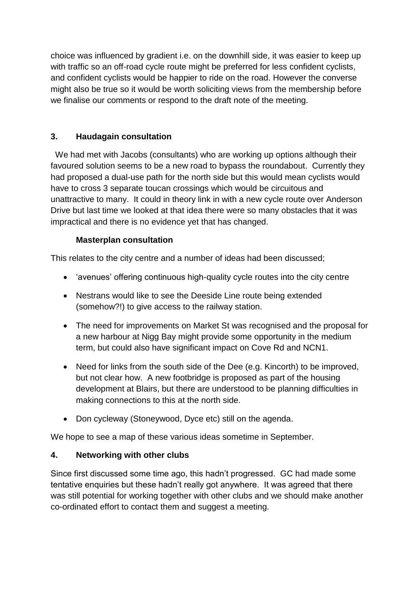choice was influenced by gradient i.e. on the downhill side, it was easier to keep up with traffic so an off-road cycle route might be preferred for less confident cyclists, and confident cyclists would be happier to ride on the road. However the converse might also be true so it would be worth soliciting views from the membership before we finalise our comments or respond to the draft note of the meeting.

## **3. Haudagain consultation**

 We had met with Jacobs (consultants) who are working up options although their favoured solution seems to be a new road to bypass the roundabout. Currently they had proposed a dual-use path for the north side but this would mean cyclists would have to cross 3 separate toucan crossings which would be circuitous and unattractive to many. It could in theory link in with a new cycle route over Anderson Drive but last time we looked at that idea there were so many obstacles that it was impractical and there is no evidence yet that has changed.

#### **Masterplan consultation**

This relates to the city centre and a number of ideas had been discussed;

- 'avenues' offering continuous high-quality cycle routes into the city centre
- Nestrans would like to see the Deeside Line route being extended (somehow?!) to give access to the railway station.
- The need for improvements on Market St was recognised and the proposal for a new harbour at Nigg Bay might provide some opportunity in the medium term, but could also have significant impact on Cove Rd and NCN1.
- Need for links from the south side of the Dee (e.g. Kincorth) to be improved, but not clear how. A new footbridge is proposed as part of the housing development at Blairs, but there are understood to be planning difficulties in making connections to this at the north side.
- Don cycleway (Stoneywood, Dyce etc) still on the agenda.

We hope to see a map of these various ideas sometime in September.

#### **4. Networking with other clubs**

Since first discussed some time ago, this hadn't progressed. GC had made some tentative enquiries but these hadn't really got anywhere. It was agreed that there was still potential for working together with other clubs and we should make another co-ordinated effort to contact them and suggest a meeting.